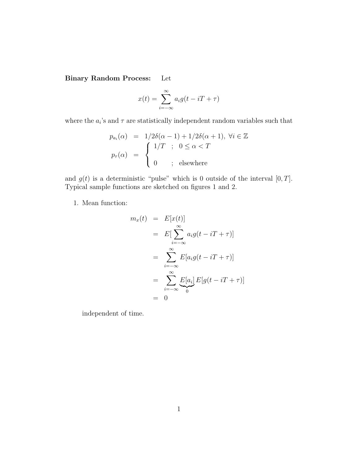Binary Random Process: Let

$$
x(t) = \sum_{i = -\infty}^{\infty} a_i g(t - iT + \tau)
$$

where the  $a_i$ 's and  $\tau$  are statistically independent random variables such that

$$
p_{a_i}(\alpha) = 1/2\delta(\alpha - 1) + 1/2\delta(\alpha + 1), \ \forall i \in \mathbb{Z}
$$

$$
p_\tau(\alpha) = \begin{cases} 1/T & ; \ 0 \le \alpha < T \\ 0 & ; \ \text{elsewhere} \end{cases}
$$

and  $g(t)$  is a deterministic "pulse" which is 0 outside of the interval  $[0, T]$ . Typical sample functions are sketched on figures 1 and 2.

1. Mean function:

$$
m_x(t) = E[x(t)]
$$
  
\n
$$
= E[\sum_{i=-\infty}^{\infty} a_i g(t - iT + \tau)]
$$
  
\n
$$
= \sum_{i=-\infty}^{\infty} E[a_i g(t - iT + \tau)]
$$
  
\n
$$
= \sum_{i=-\infty}^{\infty} E[a_i] E[g(t - iT + \tau)]
$$
  
\n
$$
= 0
$$

independent of time.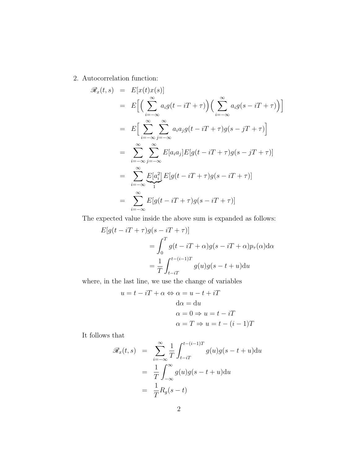2. Autocorrelation function:

$$
\mathscr{R}_x(t,s) = E[x(t)x(s)]
$$
\n
$$
= E\Big[\Big(\sum_{i=-\infty}^{\infty} a_i g(t - iT + \tau)\Big)\Big(\sum_{i=-\infty}^{\infty} a_i g(s - iT + \tau)\Big)\Big]
$$
\n
$$
= E\Big[\sum_{i=-\infty}^{\infty} \sum_{j=-\infty}^{\infty} a_i a_j g(t - iT + \tau) g(s - jT + \tau)\Big]
$$
\n
$$
= \sum_{i=-\infty}^{\infty} \sum_{j=-\infty}^{\infty} E[a_i a_j] E[g(t - iT + \tau) g(s - jT + \tau)]
$$
\n
$$
= \sum_{i=-\infty}^{\infty} \underbrace{E[a_i^2]}_1 E[g(t - iT + \tau) g(s - iT + \tau)]
$$
\n
$$
= \sum_{i=-\infty}^{\infty} E[g(t - iT + \tau) g(s - iT + \tau)]
$$

The expected value inside the above sum is expanded as follows:

$$
E[g(t - iT + \tau)g(s - iT + \tau)]
$$
  
= 
$$
\int_0^T g(t - iT + \alpha)g(s - iT + \alpha)p_{\tau}(\alpha)d\alpha
$$
  
= 
$$
\frac{1}{T} \int_{t - iT}^{t - (i-1)T} g(u)g(s - t + u)du
$$

where, in the last line, we use the change of variables

$$
u = t - iT + \alpha \Leftrightarrow \alpha = u - t + iT
$$
  
\n
$$
d\alpha = du
$$
  
\n
$$
\alpha = 0 \Rightarrow u = t - iT
$$
  
\n
$$
\alpha = T \Rightarrow u = t - (i - 1)T
$$

It follows that

$$
\mathcal{R}_x(t,s) = \sum_{i=-\infty}^{\infty} \frac{1}{T} \int_{t-iT}^{t-(i-1)T} g(u)g(s-t+u) \mathrm{d}u
$$

$$
= \frac{1}{T} \int_{-\infty}^{\infty} g(u)g(s-t+u) \mathrm{d}u
$$

$$
= \frac{1}{T} R_g(s-t)
$$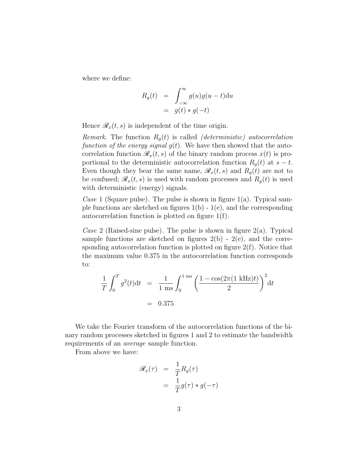where we define:

$$
R_g(t) = \int_{-\infty}^{\infty} g(u)g(u-t) \mathrm{d}u
$$
  
=  $g(t) * g(-t)$ 

Hence  $\mathscr{R}_x(t,s)$  is independent of the time origin.

*Remark.* The function  $R<sub>g</sub>(t)$  is called *(deterministic)* autocorrelation function of the energy signal  $g(t)$ . We have then showed that the autocorrelation function  $\mathcal{R}_x(t, s)$  of the binary random process  $x(t)$  is proportional to the deterministic autocorrelation function  $R_q(t)$  at  $s-t$ . Even though they bear the same name,  $\mathscr{R}_x(t,s)$  and  $R_g(t)$  are not to be confused;  $\mathscr{R}_x(t, s)$  is used with random processes and  $R_g(t)$  is used with deterministic (energy) signals.

Case 1 (Square pulse). The pulse is shown in figure  $1(a)$ . Typical sample functions are sketched on figures  $1(b) - 1(e)$ , and the corresponding autocorrelation function is plotted on figure 1(f).

Case 2 (Raised-sine pulse). The pulse is shown in figure  $2(a)$ . Typical sample functions are sketched on figures  $2(b)$  -  $2(e)$ , and the corresponding autocorrelation function is plotted on figure 2(f). Notice that the maximum value 0.375 in the autocorrelation function corresponds to:

$$
\frac{1}{T} \int_0^T g^2(t) dt = \frac{1}{1 \text{ ms}} \int_0^{1 \text{ ms}} \left( \frac{1 - \cos(2\pi (1 \text{ kHz})t)}{2} \right)^2 dt
$$
  
= 0.375

We take the Fourier transform of the autocorrelation functions of the binary random processes sketched in figures 1 and 2 to estimate the bandwidth requirements of an average sample function.

From above we have:

$$
\mathcal{R}_x(\tau) = \frac{1}{T} R_g(\tau)
$$

$$
= \frac{1}{T} g(\tau) * g(-\tau)
$$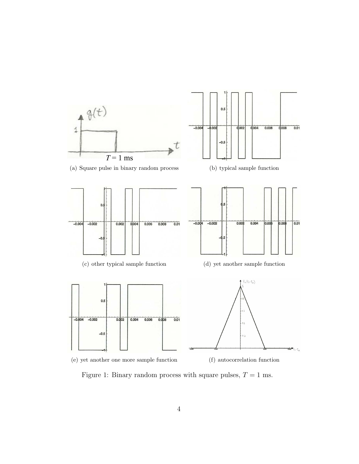

Figure 1: Binary random process with square pulses,  $T = 1$  ms.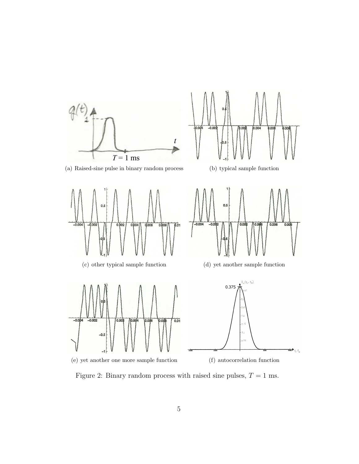

Figure 2: Binary random process with raised sine pulses,  $T = 1$  ms.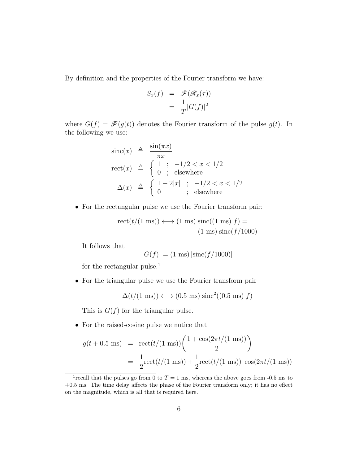By definition and the properties of the Fourier transform we have:

$$
S_x(f) = \mathcal{F}(\mathcal{R}_x(\tau))
$$
  
=  $\frac{1}{T}|G(f)|^2$ 

where  $G(f) = \mathscr{F}(g(t))$  denotes the Fourier transform of the pulse  $g(t)$ . In the following we use:

$$
\begin{array}{rcl}\n\text{sinc}(x) & \triangleq & \frac{\sin(\pi x)}{\pi x} \\
\text{rect}(x) & \triangleq & \begin{cases}\n1 & ; & -1/2 < x < 1/2 \\
0 & ; & \text{elsewhere}\n\end{cases} \\
\Delta(x) & \triangleq & \begin{cases}\n1 - 2|x| & ; & -1/2 < x < 1/2 \\
0 & ; & \text{elsewhere}\n\end{cases}\n\end{array}
$$

• For the rectangular pulse we use the Fourier transform pair:

$$
rect(t/(1 \text{ ms})) \longleftrightarrow (1 \text{ ms}) \text{ sinc}((1 \text{ ms}) f) =
$$
  
(1 ms) sinc(f/1000)

It follows that

$$
|G(f)| = (1 \text{ ms}) |\text{sinc}(f/1000)|
$$

for the rectangular pulse.<sup>1</sup>

• For the triangular pulse we use the Fourier transform pair

 $\Delta(t/(1 \text{ ms})) \longleftrightarrow (0.5 \text{ ms}) \text{ sinc}^2((0.5 \text{ ms}) f)$ 

This is  $G(f)$  for the triangular pulse.

• For the raised-cosine pulse we notice that

$$
g(t + 0.5 \text{ ms}) = \text{rect}(t/(1 \text{ ms})) \left( \frac{1 + \cos(2\pi t/(1 \text{ ms}))}{2} \right)
$$
  
=  $\frac{1}{2} \text{rect}(t/(1 \text{ ms})) + \frac{1}{2} \text{rect}(t/(1 \text{ ms})) \cos(2\pi t/(1 \text{ ms}))$ 

<sup>&</sup>lt;sup>1</sup> recall that the pulses go from 0 to  $T = 1$  ms, whereas the above goes from -0.5 ms to +0.5 ms. The time delay affects the phase of the Fourier transform only; it has no effect on the magnitude, which is all that is required here.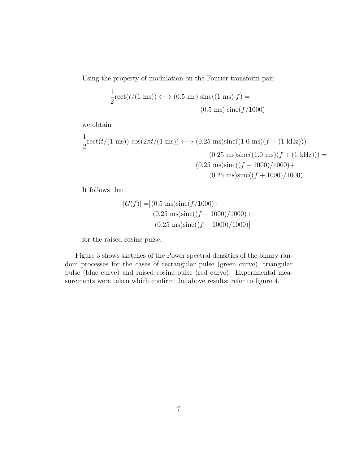Using the property of modulation on the Fourier transform pair

$$
\frac{1}{2}\text{rect}(t/(1 \text{ ms})) \longleftrightarrow (0.5 \text{ ms}) \text{ sinc}((1 \text{ ms}) f) =
$$
  
(0.5 ms) sinc(f/1000)

we obtain

$$
\frac{1}{2}\text{rect}(t/(1 \text{ ms})) \cos(2\pi t/(1 \text{ ms})) \longleftrightarrow (0.25 \text{ ms})\text{sinc}((1.0 \text{ ms})(f - (1 \text{ kHz}))) +
$$
  

$$
(0.25 \text{ ms})\text{sinc}((1.0 \text{ ms})(f + (1 \text{ kHz}))) =
$$
  

$$
(0.25 \text{ ms})\text{sinc}((f - 1000)/1000) +
$$
  

$$
(0.25 \text{ ms})\text{sinc}((f + 1000)/1000)
$$

It follows that

$$
|G(f)| = |(0.5 \text{ ms})\text{sinc}(f/1000) + (0.25 \text{ ms})\text{sinc}((f - 1000)/1000) + (0.25 \text{ ms})\text{sinc}((f + 1000)/1000)|
$$

for the raised cosine pulse.

Figure 3 shows sketches of the Power spectral densities of the binary random processes for the cases of rectangular pulse (green curve), triangular pulse (blue curve) and raised cosine pulse (red curve). Experimental measurements were taken which confirm the above results; refer to figure 4.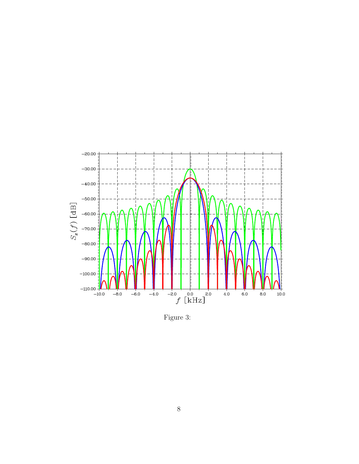

Figure 3: